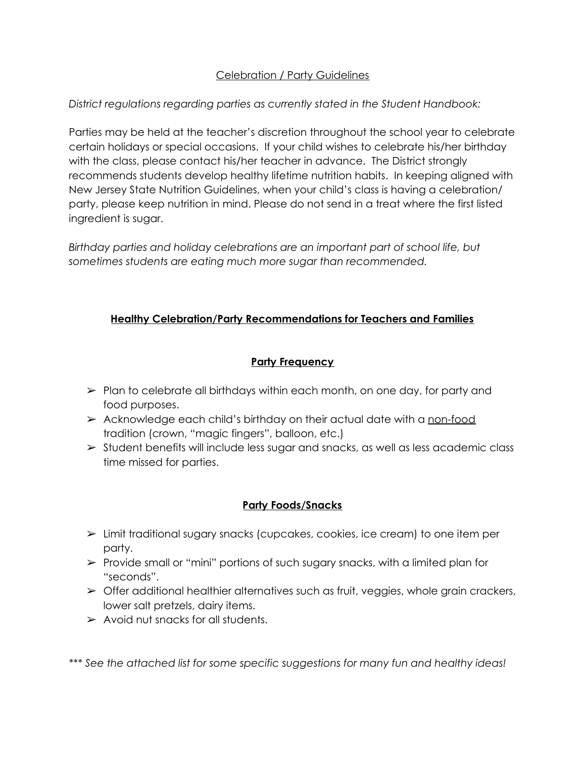## Celebration / Party Guidelines

## *District regulations regarding parties as currently stated in the Student Handbook:*

Parties may be held at the teacher's discretion throughout the school year to celebrate certain holidays or special occasions. If your child wishes to celebrate his/her birthday with the class, please contact his/her teacher in advance. The District strongly recommends students develop healthy lifetime nutrition habits. In keeping aligned with New Jersey State Nutrition Guidelines, when your child's class is having a celebration/ party, please keep nutrition in mind. Please do not send in a treat where the first listed ingredient is sugar.

*Birthday parties and holiday celebrations are an important part of school life, but sometimes students are eating much more sugar than recommended.*

# **Healthy Celebration/Party Recommendations for Teachers and Families**

# **Party Frequency**

- $\triangleright$  Plan to celebrate all birthdays within each month, on one day, for party and food purposes.
- $\triangleright$  Acknowledge each child's birthday on their actual date with a non-food tradition (crown, "magic fingers", balloon, etc.)
- $\triangleright$  Student benefits will include less sugar and snacks, as well as less academic class time missed for parties.

# **Party Foods/Snacks**

- ➢ Limit traditional sugary snacks (cupcakes, cookies, ice cream) to one item per party.
- ➢ Provide small or "mini" portions of such sugary snacks, with a limited plan for "seconds".
- $\triangleright$  Offer additional healthier alternatives such as fruit, veggies, whole grain crackers, lower salt pretzels, dairy items.
- $\triangleright$  Avoid nut snacks for all students.

*\*\*\* See the attached list for some specific suggestions for many fun and healthy ideas!*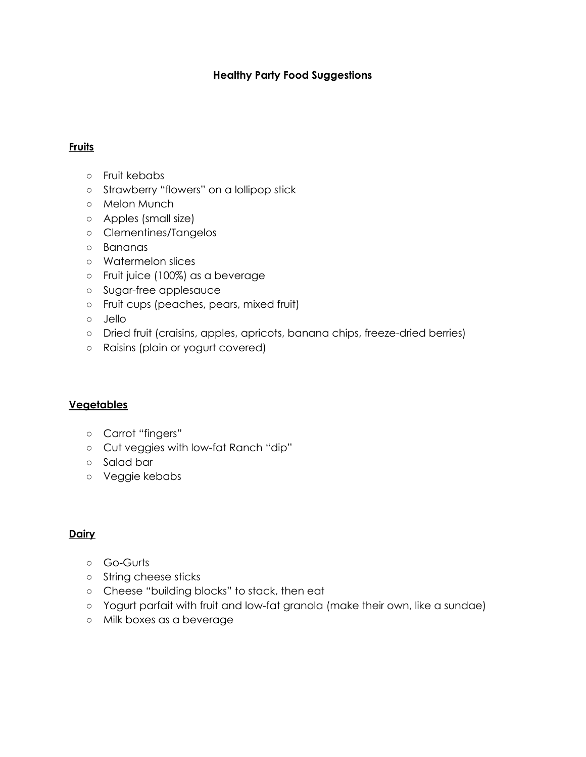### **Healthy Party Food Suggestions**

### **Fruits**

- Fruit kebabs
- Strawberry "flowers" on a lollipop stick
- Melon Munch
- Apples (small size)
- Clementines/Tangelos
- Bananas
- Watermelon slices
- Fruit juice (100%) as a beverage
- Sugar-free applesauce
- Fruit cups (peaches, pears, mixed fruit)
- Jello
- Dried fruit (craisins, apples, apricots, banana chips, freeze-dried berries)
- Raisins (plain or yogurt covered)

### **Vegetables**

- Carrot "fingers"
- Cut veggies with low-fat Ranch "dip"
- Salad bar
- Veggie kebabs

### **Dairy**

- Go-Gurts
- String cheese sticks
- Cheese "building blocks" to stack, then eat
- Yogurt parfait with fruit and low-fat granola (make their own, like a sundae)
- Milk boxes as a beverage